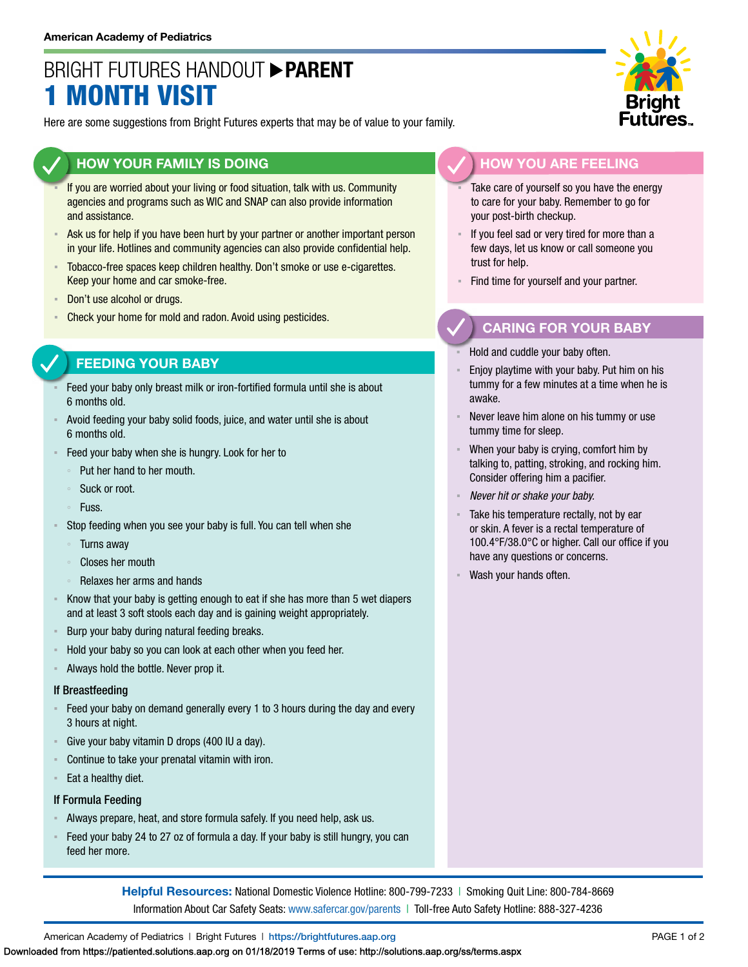## BRIGHT FUTURES HANDOUT **PARENT MONTH VISIT**

Here are some suggestions from Bright Futures experts that may be of value to your family.

### **HOW YOUR FAMILY IS DOING**

- If you are worried about your living or food situation, talk with us. Community agencies and programs such as WIC and SNAP can also provide information and assistance.
- Ask us for help if you have been hurt by your partner or another important person in your life. Hotlines and community agencies can also provide confidential help.
- **EXEDED FOR ACCO-free spaces keep children healthy. Don't smoke or use e-cigarettes.** Keep your home and car smoke-free.
- Don't use alcohol or drugs.
- Check your home for mold and radon. Avoid using pesticides.

#### **FEEDING YOUR BABY**

- Feed your baby only breast milk or iron-fortified formula until she is about 6 months old.
- Avoid feeding your baby solid foods, juice, and water until she is about 6 months old.
- Feed your baby when she is hungry. Look for her to
	- Put her hand to her mouth.
	- Suck or root.
	- Fuss.
- Stop feeding when you see your baby is full. You can tell when she
	- Turns away
	- Closes her mouth
	- Relaxes her arms and hands
- Know that your baby is getting enough to eat if she has more than 5 wet diapers and at least 3 soft stools each day and is gaining weight appropriately.
- Burp your baby during natural feeding breaks.
- Hold your baby so you can look at each other when you feed her.
- Always hold the bottle. Never prop it.

#### If Breastfeeding

- Feed your baby on demand generally every 1 to 3 hours during the day and every 3 hours at night.
- Give your baby vitamin D drops (400 IU a day).
- Continue to take your prenatal vitamin with iron.
- Eat a healthy diet.

#### If Formula Feeding

- Always prepare, heat, and store formula safely. If you need help, ask us.
- Feed your baby 24 to 27 oz of formula a day. If your baby is still hungry, you can feed her more.

**Helpful Resources:** National Domestic Violence Hotline: 800-799-7233 | Smoking Quit Line: 800-784-8669 Information About Car Safety Seats: [www.safercar.gov/parents](https://www.nhtsa.gov/parents-and-caregivers) | Toll-free Auto Safety Hotline: 888-327-4236



#### **HOW YOU ARE FEELING**

- Take care of yourself so you have the energy to care for your baby. Remember to go for your post-birth checkup.
- If you feel sad or very tired for more than a few days, let us know or call someone you trust for help.
- Find time for yourself and your partner.

### **CARING FOR YOUR BABY**

- Hold and cuddle your baby often.
- Enjoy playtime with your baby. Put him on his tummy for a few minutes at a time when he is awake.
- Never leave him alone on his tummy or use tummy time for sleep.
- When your baby is crying, comfort him by talking to, patting, stroking, and rocking him. Consider offering him a pacifier.
- *Never hit or shake your baby.*
- Take his temperature rectally, not by ear or skin. A fever is a rectal temperature of 100.4°F/38.0°C or higher. Call our office if you have any questions or concerns.
- Wash your hands often.

American Academy of Pediatrics | Bright Futures | https:/[/brightfutures.aap.org](https://brightfutures.aap.org/Pages/default.aspx) PAGE 1 of 2

Downloaded from https://patiented.solutions.aap.org on 01/18/2019 Terms of use: http://solutions.aap.org/ss/terms.aspx